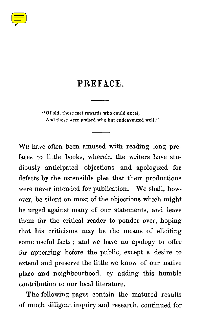

## PREFACE .

**"Of old, those met rewards who could excel, And those were praised who but endeavoured well ."**

W<sub>E</sub> have often been amused with reading long prefaces to little books, wherein the writers have studiously anticipated objections and apologized for defects by the ostensible plea that their productions were never intended for publication. We shall, however, be silent on most of the objections which might be urged against many of our statements, and leave them for the critical reader to ponder over, hoping that his criticisms may be the means of eliciting some useful facts ; and we have no apology to offer for appearing before the public, except a desire to extend and preserve the little we know of our native place and neighbourhood, by adding this humble contribution to our local literature.

The following pages contain the matured results of much diligent inquiry and research, continued for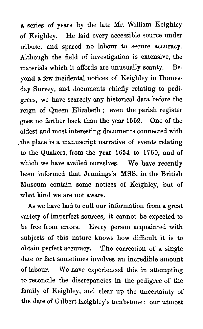**<sup>a</sup>** series of years by the late Mr. William Keighley of Keighley. He laid every accessible source under tribute, and spared no labour to secure accuracy. Although the field of investigation is extensive, the materials which it affords are unusually scanty. Beyond a few incidental notices of Keighley in Domesday Survey, and documents chiefly relating to pedigrees, we have scarcely any historical data before the reign of Queen Elizabeth ; even the parish register goes no farther back than the year 1562. One of the oldest and most interesting documents connected with the place is a manuscript narrative of events relating to the Quakers, from the year 1654 to 1760, and of which we have availed ourselves. We have recently been informed that Jennings's MSS . in the British Museum contain some notices of Keighley, but of what kind we are not aware.

As we have had to cull our information from a great variety of imperfect sources, it cannot be expected to be free from errors. Every person acquainted with subjects of this nature knows how difficult it is to obtain perfect accuracy. The correction of a single date or fact sometimes involves an incredible amount of labour. We have experienced this in attempting to reconcile the discrepancies in the pedigree of the family of Keighley, and clear up the uncertainty of the date of Gilbert Keighley's tombstone : our utmost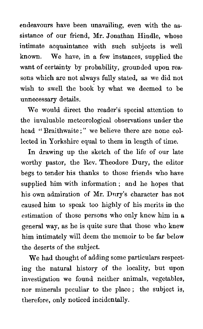endeavours have been unavailing, even with the assistance of our friend, Mr. Jonathan Hindle, whose intimate acquaintance with such subjects is well known. We have, in a few instances, supplied the want of certainty by probability, grounded upon reasons which are not always fully stated, as we did not wish to swell the book by what we deemed to be unnecessary details.

We would direct the reader's special attention to the invaluable meteorological observations under the head "Braithwaite:" we believe there are none collected in Yorkshire equal to them in length of time.

In drawing up the sketch of the life of our late worthy pastor, the Rev. Theodore Dury, the editor begs to tender his thanks to those friends who have supplied him with information ; and he hopes that his own admiration of Mr. Dury's character has not caused him to speak too highly of his merits in the estimation of those persons who only knew him in a general way, as he is quite sure that those who knew him intimately will deem the memoir to be far below the deserts of the subject.

We had thought of adding some particulars respecting the natural history of the locality, but upon investigation we found neither animals, vegetables, nor minerals peculiar to the place ; the subject is, therefore, only noticed incidentally.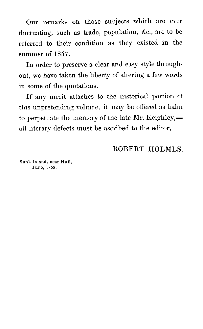Our remarks on those subjects which are ever fluctuating, such as trade, population, &c., are to be referred to their condition as they existed in the summer of 1857.

In order to preserve a clear and easy style throughout, we have taken the liberty of altering a few words in some of the quotations.

If any merit attaches to the historical portion of this unpretending volume, it may be offered as balm to perpetuate the memory of the late Mr. Keighley, all literary defects must be ascribed to the editor,

## ROBERT HOLMES.

**Sunk Island, near Hull , June, 1858 .**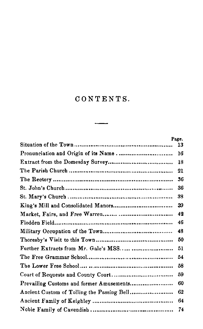## CONTENTS .

 $\overline{\phantom{a}}$ 

|                                      | Page. |
|--------------------------------------|-------|
|                                      | 13    |
|                                      | 16    |
|                                      | 18    |
|                                      | 21    |
|                                      | 36    |
|                                      | 36    |
|                                      | 38    |
| King's Mill and Consolidated Manors  | 39    |
|                                      | 42    |
|                                      | 46    |
|                                      | 48    |
|                                      | 50    |
| Further Extracts from Mr. Gale's MSS | 51    |
|                                      | 54    |
|                                      | 58    |
|                                      | 59    |
|                                      | 60    |
|                                      | 62    |
|                                      | 64    |
|                                      | 74    |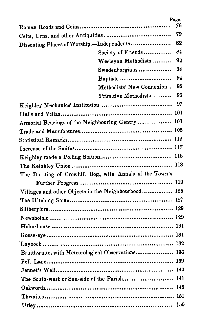|                                            |                                                         | Page. |
|--------------------------------------------|---------------------------------------------------------|-------|
|                                            |                                                         | 76    |
|                                            |                                                         | 79    |
| Dissenting Places of Worship.-Independents |                                                         | 82    |
|                                            | Society of Friends                                      | 84    |
|                                            | Wesleyan Methodists                                     | 92    |
|                                            | Swedenborgians                                          | 94    |
|                                            | Baptists                                                | 94    |
|                                            | Methodists' New Connexion                               | 95    |
|                                            | Primitive Methodists                                    | 95    |
|                                            |                                                         |       |
|                                            |                                                         |       |
|                                            | Armorial Bearings of the Neighbouring Gentry  103       |       |
|                                            |                                                         |       |
|                                            |                                                         |       |
|                                            |                                                         |       |
|                                            |                                                         |       |
|                                            |                                                         |       |
|                                            | The Bursting of Crowhill Bog, with Annals of the Town's |       |
|                                            |                                                         |       |
|                                            | Villages and other Objects in the Neighbourhood 125     |       |
|                                            |                                                         |       |
|                                            |                                                         |       |
|                                            |                                                         |       |
|                                            |                                                         |       |
|                                            |                                                         |       |
|                                            |                                                         |       |
|                                            | Braithwaite, with Meteorological Observations 136       |       |
|                                            |                                                         |       |
|                                            |                                                         |       |
|                                            | The South-west or Sun-side of the Parish 141            |       |
|                                            |                                                         |       |
|                                            |                                                         |       |
|                                            |                                                         |       |
|                                            |                                                         |       |